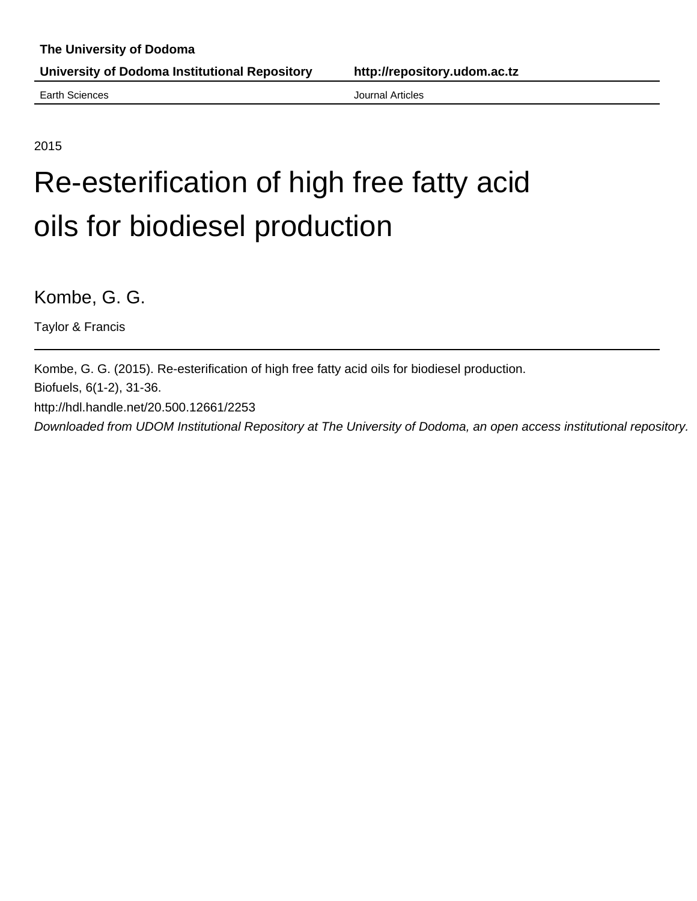Earth Sciences **Articles Earth Sciences Journal Articles** 

2015

## Re-esterification of high free fatty acid oils for biodiesel production

Kombe, G. G.

Taylor & Francis

Kombe, G. G. (2015). Re-esterification of high free fatty acid oils for biodiesel production.

Biofuels, 6(1-2), 31-36.

http://hdl.handle.net/20.500.12661/2253

Downloaded from UDOM Institutional Repository at The University of Dodoma, an open access institutional repository.